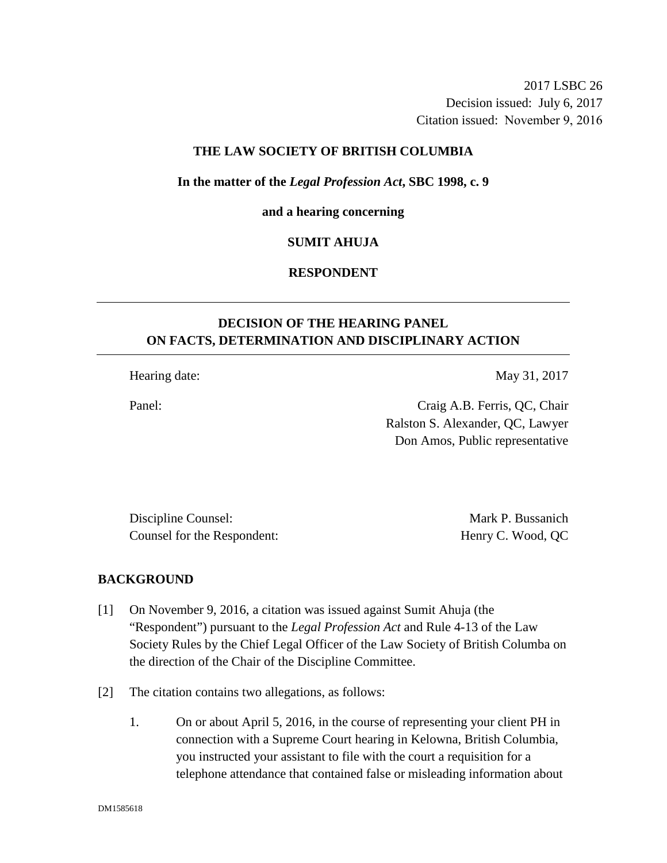2017 LSBC 26 Decision issued: July 6, 2017 Citation issued: November 9, 2016

## **THE LAW SOCIETY OF BRITISH COLUMBIA**

#### **In the matter of the** *Legal Profession Act***, SBC 1998, c. 9**

#### **and a hearing concerning**

#### **SUMIT AHUJA**

# **RESPONDENT**

# **DECISION OF THE HEARING PANEL ON FACTS, DETERMINATION AND DISCIPLINARY ACTION**

Hearing date: May 31, 2017

Panel: Craig A.B. Ferris, QC, Chair Ralston S. Alexander, QC, Lawyer Don Amos, Public representative

Discipline Counsel: Mark P. Bussanich Counsel for the Respondent: Henry C. Wood, QC

#### **BACKGROUND**

- [1] On November 9, 2016, a citation was issued against Sumit Ahuja (the "Respondent") pursuant to the *Legal Profession Act* and Rule 4-13 of the Law Society Rules by the Chief Legal Officer of the Law Society of British Columba on the direction of the Chair of the Discipline Committee.
- [2] The citation contains two allegations, as follows:
	- 1. On or about April 5, 2016, in the course of representing your client PH in connection with a Supreme Court hearing in Kelowna, British Columbia, you instructed your assistant to file with the court a requisition for a telephone attendance that contained false or misleading information about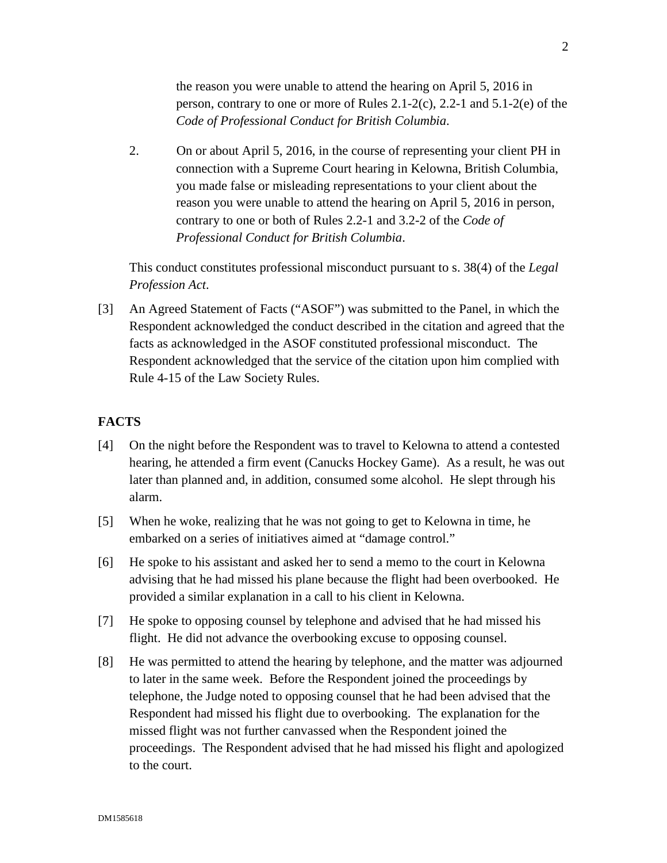the reason you were unable to attend the hearing on April 5, 2016 in person, contrary to one or more of Rules 2.1-2(c), 2.2-1 and 5.1-2(e) of the *Code of Professional Conduct for British Columbia*.

2. On or about April 5, 2016, in the course of representing your client PH in connection with a Supreme Court hearing in Kelowna, British Columbia, you made false or misleading representations to your client about the reason you were unable to attend the hearing on April 5, 2016 in person, contrary to one or both of Rules 2.2-1 and 3.2-2 of the *Code of Professional Conduct for British Columbia*.

This conduct constitutes professional misconduct pursuant to s. 38(4) of the *Legal Profession Act*.

[3] An Agreed Statement of Facts ("ASOF") was submitted to the Panel, in which the Respondent acknowledged the conduct described in the citation and agreed that the facts as acknowledged in the ASOF constituted professional misconduct. The Respondent acknowledged that the service of the citation upon him complied with Rule 4-15 of the Law Society Rules.

# **FACTS**

- [4] On the night before the Respondent was to travel to Kelowna to attend a contested hearing, he attended a firm event (Canucks Hockey Game). As a result, he was out later than planned and, in addition, consumed some alcohol. He slept through his alarm.
- [5] When he woke, realizing that he was not going to get to Kelowna in time, he embarked on a series of initiatives aimed at "damage control."
- [6] He spoke to his assistant and asked her to send a memo to the court in Kelowna advising that he had missed his plane because the flight had been overbooked. He provided a similar explanation in a call to his client in Kelowna.
- [7] He spoke to opposing counsel by telephone and advised that he had missed his flight. He did not advance the overbooking excuse to opposing counsel.
- [8] He was permitted to attend the hearing by telephone, and the matter was adjourned to later in the same week. Before the Respondent joined the proceedings by telephone, the Judge noted to opposing counsel that he had been advised that the Respondent had missed his flight due to overbooking. The explanation for the missed flight was not further canvassed when the Respondent joined the proceedings. The Respondent advised that he had missed his flight and apologized to the court.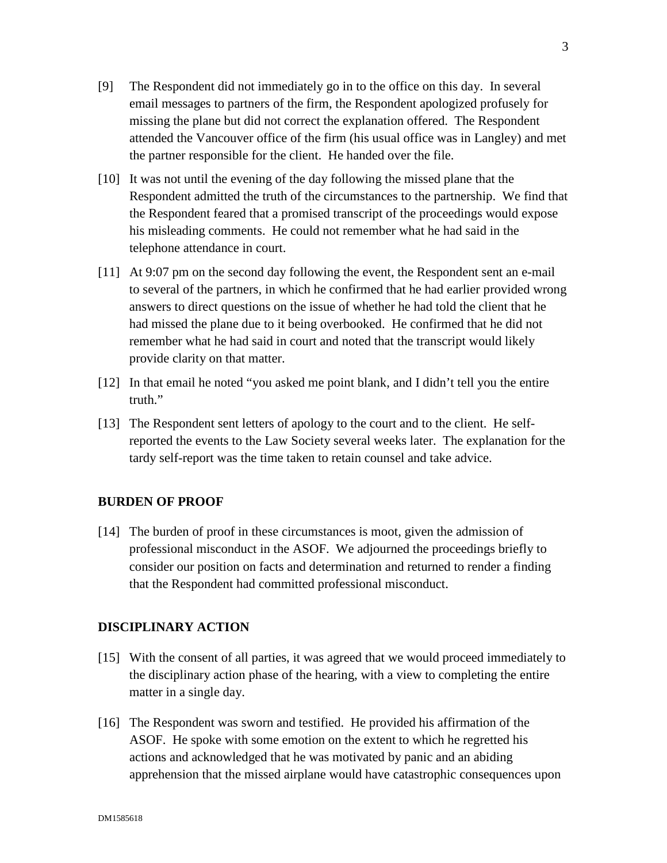- [9] The Respondent did not immediately go in to the office on this day. In several email messages to partners of the firm, the Respondent apologized profusely for missing the plane but did not correct the explanation offered. The Respondent attended the Vancouver office of the firm (his usual office was in Langley) and met the partner responsible for the client. He handed over the file.
- [10] It was not until the evening of the day following the missed plane that the Respondent admitted the truth of the circumstances to the partnership. We find that the Respondent feared that a promised transcript of the proceedings would expose his misleading comments. He could not remember what he had said in the telephone attendance in court.
- [11] At 9:07 pm on the second day following the event, the Respondent sent an e-mail to several of the partners, in which he confirmed that he had earlier provided wrong answers to direct questions on the issue of whether he had told the client that he had missed the plane due to it being overbooked. He confirmed that he did not remember what he had said in court and noted that the transcript would likely provide clarity on that matter.
- [12] In that email he noted "you asked me point blank, and I didn't tell you the entire truth."
- [13] The Respondent sent letters of apology to the court and to the client. He selfreported the events to the Law Society several weeks later. The explanation for the tardy self-report was the time taken to retain counsel and take advice.

#### **BURDEN OF PROOF**

[14] The burden of proof in these circumstances is moot, given the admission of professional misconduct in the ASOF. We adjourned the proceedings briefly to consider our position on facts and determination and returned to render a finding that the Respondent had committed professional misconduct.

#### **DISCIPLINARY ACTION**

- [15] With the consent of all parties, it was agreed that we would proceed immediately to the disciplinary action phase of the hearing, with a view to completing the entire matter in a single day.
- [16] The Respondent was sworn and testified. He provided his affirmation of the ASOF. He spoke with some emotion on the extent to which he regretted his actions and acknowledged that he was motivated by panic and an abiding apprehension that the missed airplane would have catastrophic consequences upon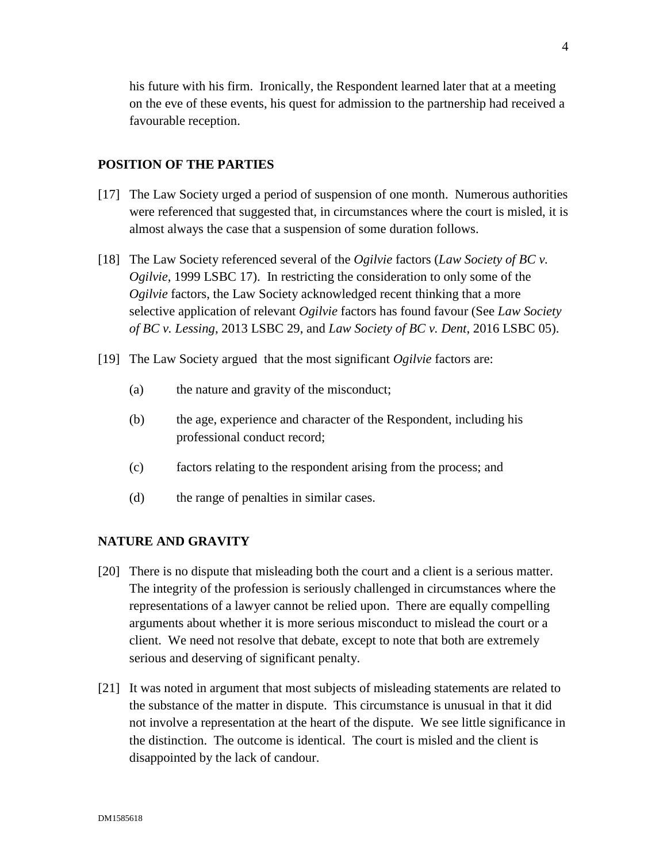his future with his firm. Ironically, the Respondent learned later that at a meeting on the eve of these events, his quest for admission to the partnership had received a favourable reception.

#### **POSITION OF THE PARTIES**

- [17] The Law Society urged a period of suspension of one month. Numerous authorities were referenced that suggested that, in circumstances where the court is misled, it is almost always the case that a suspension of some duration follows.
- [18] The Law Society referenced several of the *Ogilvie* factors (*Law Society of BC v. Ogilvie*, 1999 LSBC 17). In restricting the consideration to only some of the *Ogilvie* factors, the Law Society acknowledged recent thinking that a more selective application of relevant *Ogilvie* factors has found favour (See *Law Society of BC v. Lessing*, 2013 LSBC 29, and *Law Society of BC v. Dent*, 2016 LSBC 05).
- [19] The Law Society argued that the most significant *Ogilvie* factors are:
	- (a) the nature and gravity of the misconduct;
	- (b) the age, experience and character of the Respondent, including his professional conduct record;
	- (c) factors relating to the respondent arising from the process; and
	- (d) the range of penalties in similar cases.

#### **NATURE AND GRAVITY**

- [20] There is no dispute that misleading both the court and a client is a serious matter. The integrity of the profession is seriously challenged in circumstances where the representations of a lawyer cannot be relied upon. There are equally compelling arguments about whether it is more serious misconduct to mislead the court or a client. We need not resolve that debate, except to note that both are extremely serious and deserving of significant penalty.
- [21] It was noted in argument that most subjects of misleading statements are related to the substance of the matter in dispute. This circumstance is unusual in that it did not involve a representation at the heart of the dispute. We see little significance in the distinction. The outcome is identical. The court is misled and the client is disappointed by the lack of candour.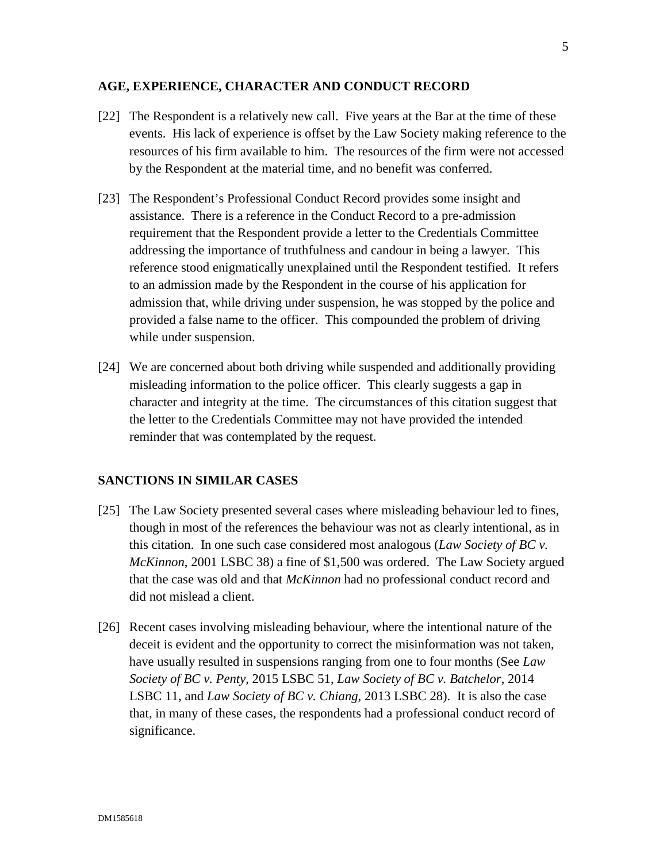#### **AGE, EXPERIENCE, CHARACTER AND CONDUCT RECORD**

- [22] The Respondent is a relatively new call. Five years at the Bar at the time of these events. His lack of experience is offset by the Law Society making reference to the resources of his firm available to him. The resources of the firm were not accessed by the Respondent at the material time, and no benefit was conferred.
- [23] The Respondent's Professional Conduct Record provides some insight and assistance. There is a reference in the Conduct Record to a pre-admission requirement that the Respondent provide a letter to the Credentials Committee addressing the importance of truthfulness and candour in being a lawyer. This reference stood enigmatically unexplained until the Respondent testified. It refers to an admission made by the Respondent in the course of his application for admission that, while driving under suspension, he was stopped by the police and provided a false name to the officer. This compounded the problem of driving while under suspension.
- [24] We are concerned about both driving while suspended and additionally providing misleading information to the police officer. This clearly suggests a gap in character and integrity at the time. The circumstances of this citation suggest that the letter to the Credentials Committee may not have provided the intended reminder that was contemplated by the request.

#### **SANCTIONS IN SIMILAR CASES**

- [25] The Law Society presented several cases where misleading behaviour led to fines, though in most of the references the behaviour was not as clearly intentional, as in this citation. In one such case considered most analogous (*Law Society of BC v. McKinnon*, 2001 LSBC 38) a fine of \$1,500 was ordered. The Law Society argued that the case was old and that *McKinnon* had no professional conduct record and did not mislead a client.
- [26] Recent cases involving misleading behaviour, where the intentional nature of the deceit is evident and the opportunity to correct the misinformation was not taken, have usually resulted in suspensions ranging from one to four months (See *Law Society of BC v. Penty*, 2015 LSBC 51, *Law Society of BC v. Batchelor*, 2014 LSBC 11, and *Law Society of BC v. Chiang*, 2013 LSBC 28). It is also the case that, in many of these cases, the respondents had a professional conduct record of significance.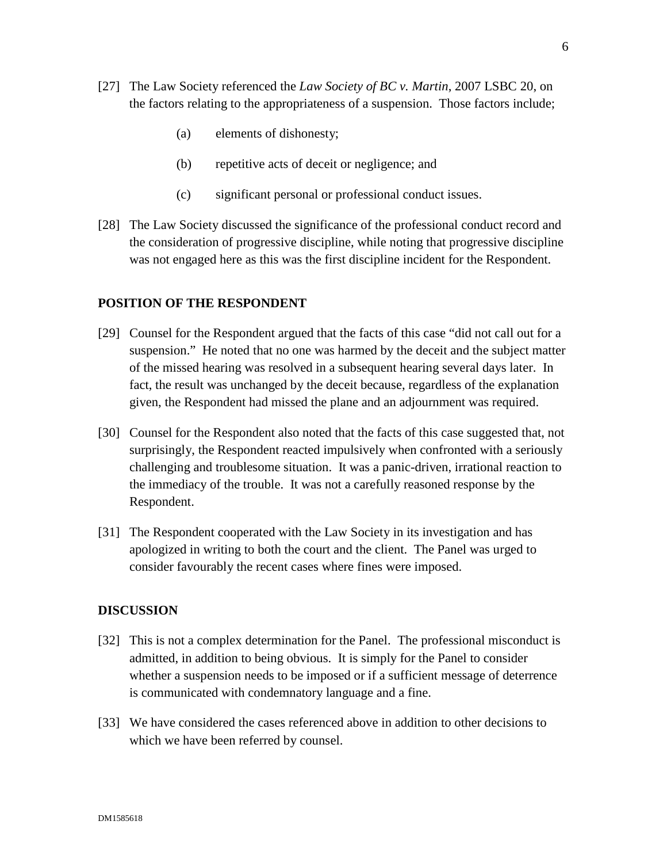- [27] The Law Society referenced the *Law Society of BC v. Martin*, 2007 LSBC 20, on the factors relating to the appropriateness of a suspension. Those factors include;
	- (a) elements of dishonesty;
	- (b) repetitive acts of deceit or negligence; and
	- (c) significant personal or professional conduct issues.
- [28] The Law Society discussed the significance of the professional conduct record and the consideration of progressive discipline, while noting that progressive discipline was not engaged here as this was the first discipline incident for the Respondent.

#### **POSITION OF THE RESPONDENT**

- [29] Counsel for the Respondent argued that the facts of this case "did not call out for a suspension." He noted that no one was harmed by the deceit and the subject matter of the missed hearing was resolved in a subsequent hearing several days later. In fact, the result was unchanged by the deceit because, regardless of the explanation given, the Respondent had missed the plane and an adjournment was required.
- [30] Counsel for the Respondent also noted that the facts of this case suggested that, not surprisingly, the Respondent reacted impulsively when confronted with a seriously challenging and troublesome situation. It was a panic-driven, irrational reaction to the immediacy of the trouble. It was not a carefully reasoned response by the Respondent.
- [31] The Respondent cooperated with the Law Society in its investigation and has apologized in writing to both the court and the client. The Panel was urged to consider favourably the recent cases where fines were imposed.

#### **DISCUSSION**

- [32] This is not a complex determination for the Panel. The professional misconduct is admitted, in addition to being obvious. It is simply for the Panel to consider whether a suspension needs to be imposed or if a sufficient message of deterrence is communicated with condemnatory language and a fine.
- [33] We have considered the cases referenced above in addition to other decisions to which we have been referred by counsel.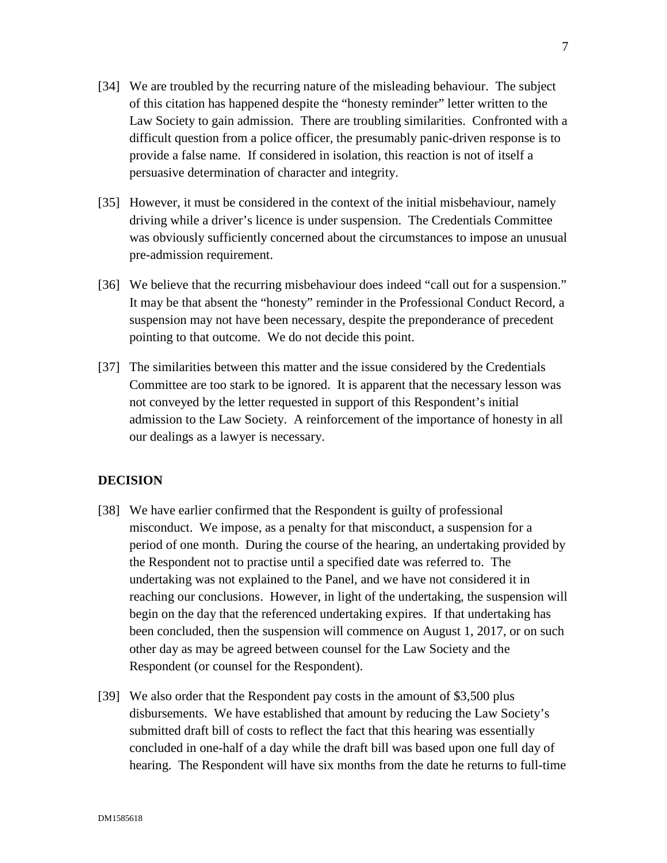- [34] We are troubled by the recurring nature of the misleading behaviour. The subject of this citation has happened despite the "honesty reminder" letter written to the Law Society to gain admission. There are troubling similarities. Confronted with a difficult question from a police officer, the presumably panic-driven response is to provide a false name. If considered in isolation, this reaction is not of itself a persuasive determination of character and integrity.
- [35] However, it must be considered in the context of the initial misbehaviour, namely driving while a driver's licence is under suspension. The Credentials Committee was obviously sufficiently concerned about the circumstances to impose an unusual pre-admission requirement.
- [36] We believe that the recurring misbehaviour does indeed "call out for a suspension." It may be that absent the "honesty" reminder in the Professional Conduct Record, a suspension may not have been necessary, despite the preponderance of precedent pointing to that outcome. We do not decide this point.
- [37] The similarities between this matter and the issue considered by the Credentials Committee are too stark to be ignored. It is apparent that the necessary lesson was not conveyed by the letter requested in support of this Respondent's initial admission to the Law Society. A reinforcement of the importance of honesty in all our dealings as a lawyer is necessary.

# **DECISION**

- [38] We have earlier confirmed that the Respondent is guilty of professional misconduct. We impose, as a penalty for that misconduct, a suspension for a period of one month. During the course of the hearing, an undertaking provided by the Respondent not to practise until a specified date was referred to. The undertaking was not explained to the Panel, and we have not considered it in reaching our conclusions. However, in light of the undertaking, the suspension will begin on the day that the referenced undertaking expires. If that undertaking has been concluded, then the suspension will commence on August 1, 2017, or on such other day as may be agreed between counsel for the Law Society and the Respondent (or counsel for the Respondent).
- [39] We also order that the Respondent pay costs in the amount of \$3,500 plus disbursements. We have established that amount by reducing the Law Society's submitted draft bill of costs to reflect the fact that this hearing was essentially concluded in one-half of a day while the draft bill was based upon one full day of hearing. The Respondent will have six months from the date he returns to full-time